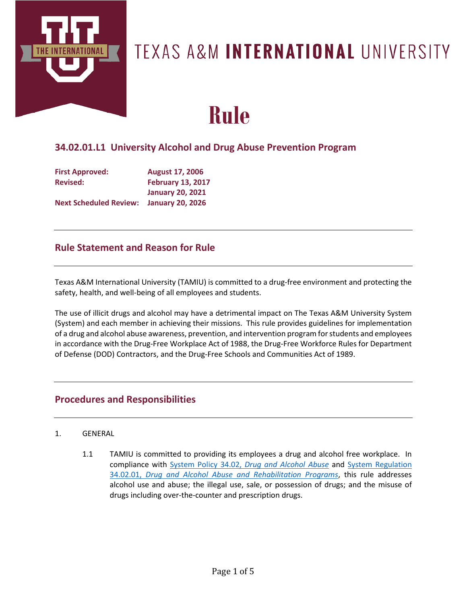

## TEXAS A&M INTERNATIONAL UNIVERSITY

# **Rule**

## **34.02.01.L1 University Alcohol and Drug Abuse Prevention Program**

| <b>First Approved:</b>        | <b>August 17, 2006</b>   |
|-------------------------------|--------------------------|
| <b>Revised:</b>               | <b>February 13, 2017</b> |
|                               | <b>January 20, 2021</b>  |
| <b>Next Scheduled Review:</b> | <b>January 20, 2026</b>  |

## **Rule Statement and Reason for Rule**

Texas A&M International University (TAMIU) is committed to a drug-free environment and protecting the safety, health, and well-being of all employees and students.

The use of illicit drugs and alcohol may have a detrimental impact on The Texas A&M University System (System) and each member in achieving their missions. This rule provides guidelines for implementation of a drug and alcohol abuse awareness, prevention, and intervention program for students and employees in accordance with the Drug-Free Workplace Act of 1988, the Drug-Free Workforce Rules for Department of Defense (DOD) Contractors, and the Drug-Free Schools and Communities Act of 1989.

## **Procedures and Responsibilities**

#### 1. GENERAL

1.1 TAMIU is committed to providing its employees a drug and alcohol free workplace. In compliance with System Policy 34.02, *[Drug and Alcohol Abuse](http://policies.tamus.edu/34-02.pdf)* and [System Regulation](http://policies.tamus.edu/34-02-01.pdf)  34.02.01, *[Drug and Alcohol Abuse and Rehabilitation Programs](http://policies.tamus.edu/34-02-01.pdf)*, this rule addresses alcohol use and abuse; the illegal use, sale, or possession of drugs; and the misuse of drugs including over-the-counter and prescription drugs.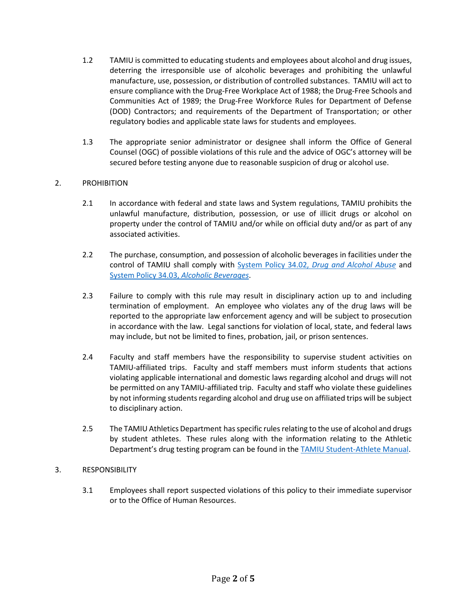- 1.2 TAMIU is committed to educating students and employees about alcohol and drug issues, deterring the irresponsible use of alcoholic beverages and prohibiting the unlawful manufacture, use, possession, or distribution of controlled substances. TAMIU will act to ensure compliance with the Drug-Free Workplace Act of 1988; the Drug-Free Schools and Communities Act of 1989; the Drug-Free Workforce Rules for Department of Defense (DOD) Contractors; and requirements of the Department of Transportation; or other regulatory bodies and applicable state laws for students and employees.
- 1.3 The appropriate senior administrator or designee shall inform the Office of General Counsel (OGC) of possible violations of this rule and the advice of OGC's attorney will be secured before testing anyone due to reasonable suspicion of drug or alcohol use.

#### 2. PROHIBITION

- 2.1 In accordance with federal and state laws and System regulations, TAMIU prohibits the unlawful manufacture, distribution, possession, or use of illicit drugs or alcohol on property under the control of TAMIU and/or while on official duty and/or as part of any associated activities.
- 2.2 The purchase, consumption, and possession of alcoholic beverages in facilities under the control of TAMIU shall comply with System Policy 34.02, *[Drug and Alcohol Abuse](http://policies.tamus.edu/34-02.pdf)* and System Policy 34.03, *[Alcoholic Beverages](http://policies.tamus.edu/34-03.pdf)*.
- 2.3 Failure to comply with this rule may result in disciplinary action up to and including termination of employment. An employee who violates any of the drug laws will be reported to the appropriate law enforcement agency and will be subject to prosecution in accordance with the law. Legal sanctions for violation of local, state, and federal laws may include, but not be limited to fines, probation, jail, or prison sentences.
- 2.4 Faculty and staff members have the responsibility to supervise student activities on TAMIU-affiliated trips. Faculty and staff members must inform students that actions violating applicable international and domestic laws regarding alcohol and drugs will not be permitted on any TAMIU-affiliated trip. Faculty and staff who violate these guidelines by not informing students regarding alcohol and drug use on affiliated trips will be subject to disciplinary action.
- 2.5 The TAMIU Athletics Department has specific rules relating to the use of alcohol and drugs by student athletes. These rules along with the information relating to the Athletic Department's drug testing program can be found in the [TAMIU Student-Athlete Manual.](https://godustdevils.com/documents/2020/8/14/TAMIU_Student_Athlete_Handbook_8_13_20_.pdf)

#### 3. RESPONSIBILITY

3.1 Employees shall report suspected violations of this policy to their immediate supervisor or to the Office of Human Resources.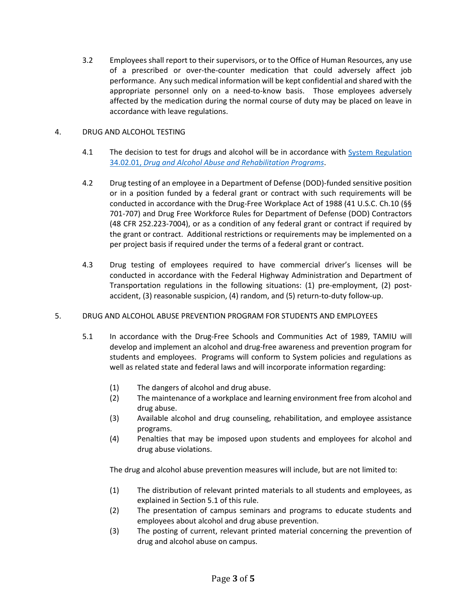3.2 Employees shall report to their supervisors, or to the Office of Human Resources, any use of a prescribed or over-the-counter medication that could adversely affect job performance. Any such medical information will be kept confidential and shared with the appropriate personnel only on a need-to-know basis. Those employees adversely affected by the medication during the normal course of duty may be placed on leave in accordance with leave regulations.

#### 4. DRUG AND ALCOHOL TESTING

- 4.1 The decision to test for drugs and alcohol will be in accordance with System Regulation 34.02.01, *[Drug and Alcohol Abuse and Rehabilitation Programs](http://policies.tamus.edu/34-02-01.pdf)*.
- 4.2 Drug testing of an employee in a Department of Defense (DOD)-funded sensitive position or in a position funded by a federal grant or contract with such requirements will be conducted in accordance with the Drug-Free Workplace Act of 1988 (41 U.S.C. Ch.10 (§§ 701-707) and Drug Free Workforce Rules for Department of Defense (DOD) Contractors (48 CFR 252.223-7004), or as a condition of any federal grant or contract if required by the grant or contract. Additional restrictions or requirements may be implemented on a per project basis if required under the terms of a federal grant or contract.
- 4.3 Drug testing of employees required to have commercial driver's licenses will be conducted in accordance with the Federal Highway Administration and Department of Transportation regulations in the following situations: (1) pre-employment, (2) postaccident, (3) reasonable suspicion, (4) random, and (5) return-to-duty follow-up.

#### 5. DRUG AND ALCOHOL ABUSE PREVENTION PROGRAM FOR STUDENTS AND EMPLOYEES

- 5.1 In accordance with the Drug-Free Schools and Communities Act of 1989, TAMIU will develop and implement an alcohol and drug-free awareness and prevention program for students and employees. Programs will conform to System policies and regulations as well as related state and federal laws and will incorporate information regarding:
	- (1) The dangers of alcohol and drug abuse.
	- (2) The maintenance of a workplace and learning environment free from alcohol and drug abuse.
	- (3) Available alcohol and drug counseling, rehabilitation, and employee assistance programs.
	- (4) Penalties that may be imposed upon students and employees for alcohol and drug abuse violations.

The drug and alcohol abuse prevention measures will include, but are not limited to:

- (1) The distribution of relevant printed materials to all students and employees, as explained in Section 5.1 of this rule.
- (2) The presentation of campus seminars and programs to educate students and employees about alcohol and drug abuse prevention.
- (3) The posting of current, relevant printed material concerning the prevention of drug and alcohol abuse on campus.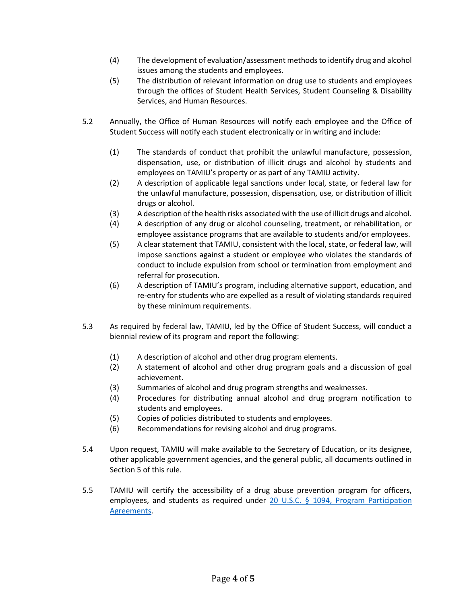- (4) The development of evaluation/assessment methods to identify drug and alcohol issues among the students and employees.
- (5) The distribution of relevant information on drug use to students and employees through the offices of Student Health Services, Student Counseling & Disability Services, and Human Resources.
- 5.2 Annually, the Office of Human Resources will notify each employee and the Office of Student Success will notify each student electronically or in writing and include:
	- (1) The standards of conduct that prohibit the unlawful manufacture, possession, dispensation, use, or distribution of illicit drugs and alcohol by students and employees on TAMIU's property or as part of any TAMIU activity.
	- (2) A description of applicable legal sanctions under local, state, or federal law for the unlawful manufacture, possession, dispensation, use, or distribution of illicit drugs or alcohol.
	- (3) A description of the health risks associated with the use of illicit drugs and alcohol.
	- (4) A description of any drug or alcohol counseling, treatment, or rehabilitation, or employee assistance programs that are available to students and/or employees.
	- (5) A clear statement that TAMIU, consistent with the local, state, or federal law, will impose sanctions against a student or employee who violates the standards of conduct to include expulsion from school or termination from employment and referral for prosecution.
	- (6) A description of TAMIU's program, including alternative support, education, and re-entry for students who are expelled as a result of violating standards required by these minimum requirements.
- 5.3 As required by federal law, TAMIU, led by the Office of Student Success, will conduct a biennial review of its program and report the following:
	- (1) A description of alcohol and other drug program elements.
	- (2) A statement of alcohol and other drug program goals and a discussion of goal achievement.
	- (3) Summaries of alcohol and drug program strengths and weaknesses.
	- (4) Procedures for distributing annual alcohol and drug program notification to students and employees.
	- (5) Copies of policies distributed to students and employees.
	- (6) Recommendations for revising alcohol and drug programs.
- 5.4 Upon request, TAMIU will make available to the Secretary of Education, or its designee, other applicable government agencies, and the general public, all documents outlined in Section 5 of this rule.
- 5.5 TAMIU will certify the accessibility of a drug abuse prevention program for officers, employees, and students as required under [20 U.S.C. § 1094, Program Participation](https://www.gpo.gov/fdsys/pkg/USCODE-2011-title20/pdf/USCODE-2011-title20-chap28-subchapIV-partF-sec1094.pdf)  [Agreements.](https://www.gpo.gov/fdsys/pkg/USCODE-2011-title20/pdf/USCODE-2011-title20-chap28-subchapIV-partF-sec1094.pdf)